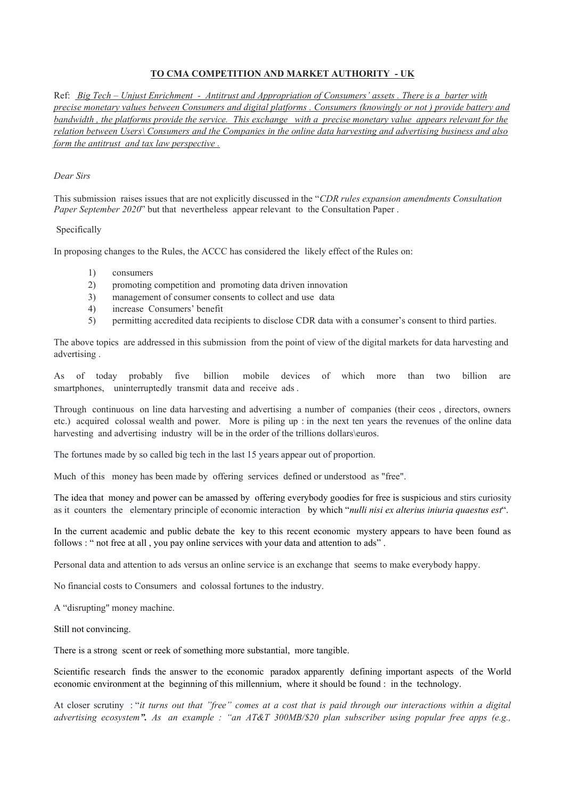## **TO CMA COMPETITION AND MARKET AUTHORITY - UK**

Ref: *Big Tech – Unjust Enrichment - Antitrust and Appropriation of Consumers' assets . There is a barter with precise monetary values between Consumers and digital platforms . Consumers (knowingly or not ) provide battery and bandwidth , the platforms provide the service. This exchange with a precise monetary value appears relevant for the relation between Users\ Consumers and the Companies in the online data harvesting and advertising business and also form the antitrust and tax law perspective .*

## *Dear Sirs*

This submission raises issues that are not explicitly discussed in the "*CDR rules expansion amendments Consultation Paper September 2020*" but that nevertheless appear relevant to the Consultation Paper.

## Specifically

In proposing changes to the Rules, the ACCC has considered the likely effect of the Rules on:

- 1) consumers
- 2) promoting competition and promoting data driven innovation
- 3) management of consumer consents to collect and use data
- 4) increase Consumers' benefit
- 5) permitting accredited data recipients to disclose CDR data with a consumer's consent to third parties.

The above topics are addressed in this submission from the point of view of the digital markets for data harvesting and advertising .

As of today probably five billion mobile devices of which more than two billion are smartphones, uninterruptedly transmit data and receive ads .

Through continuous on line data harvesting and advertising a number of companies (their ceos , directors, owners etc.) acquired colossal wealth and power. More is piling up : in the next ten years the revenues of the online data harvesting and advertising industry will be in the order of the trillions dollars\euros.

The fortunes made by so called big tech in the last 15 years appear out of proportion.

Much of this money has been made by offering services defined or understood as "free".

The idea that money and power can be amassed by offering everybody goodies for free is suspicious and stirs curiosity as it counters the elementary principle of economic interaction by which "*nulli nisi ex alterius iniuria quaestus est*".

In the current academic and public debate the key to this recent economic mystery appears to have been found as follows : " not free at all , you pay online services with your data and attention to ads" .

Personal data and attention to ads versus an online service is an exchange that seems to make everybody happy.

No financial costs to Consumers and colossal fortunes to the industry.

A "disrupting" money machine.

Still not convincing.

There is a strong scent or reek of something more substantial, more tangible.

Scientific research finds the answer to the economic paradox apparently defining important aspects of the World economic environment at the beginning of this millennium, where it should be found : in the technology.

At closer scrutiny : "*it turns out that "free" comes at a cost that is paid through our interactions within a digital advertising ecosystem". As an example : "an AT&T 300MB/\$20 plan subscriber using popular free apps (e.g.,*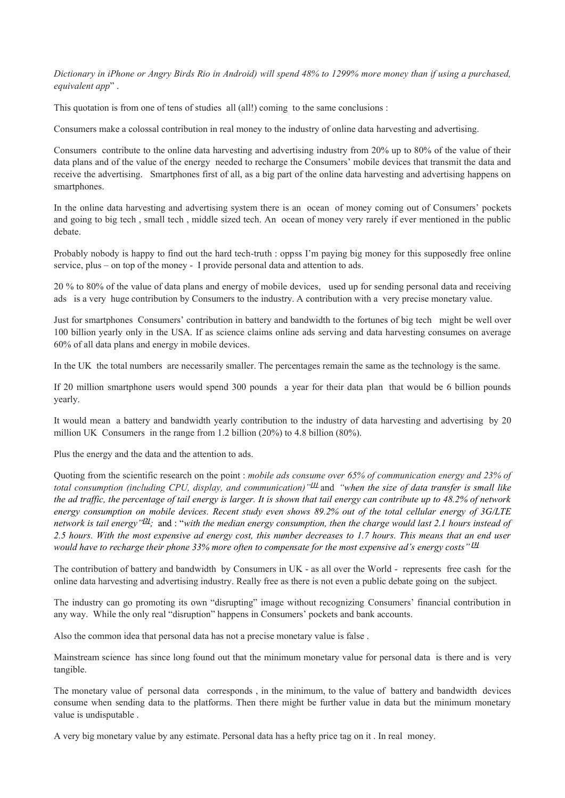*Dictionary in iPhone or Angry Birds Rio in Android) will spend 48% to 1299% more money than if using a purchased, equivalent app*" .

This quotation is from one of tens of studies all (all!) coming to the same conclusions :

Consumers make a colossal contribution in real money to the industry of online data harvesting and advertising.

Consumers contribute to the online data harvesting and advertising industry from 20% up to 80% of the value of their data plans and of the value of the energy needed to recharge the Consumers' mobile devices that transmit the data and receive the advertising. Smartphones first of all, as a big part of the online data harvesting and advertising happens on smartphones.

In the online data harvesting and advertising system there is an ocean of money coming out of Consumers' pockets and going to big tech , small tech , middle sized tech. An ocean of money very rarely if ever mentioned in the public debate.

Probably nobody is happy to find out the hard tech-truth : oppss I'm paying big money for this supposedly free online service, plus – on top of the money - I provide personal data and attention to ads.

20 % to 80% of the value of data plans and energy of mobile devices, used up for sending personal data and receiving ads is a very huge contribution by Consumers to the industry. A contribution with a very precise monetary value.

Just for smartphones Consumers' contribution in battery and bandwidth to the fortunes of big tech might be well over 100 billion yearly only in the USA. If as science claims online ads serving and data harvesting consumes on average 60% of all data plans and energy in mobile devices.

In the UK the total numbers are necessarily smaller. The percentages remain the same as the technology is the same.

If 20 million smartphone users would spend 300 pounds a year for their data plan that would be 6 billion pounds yearly.

It would mean a battery and bandwidth yearly contribution to the industry of data harvesting and advertising by 20 million UK Consumers in the range from 1.2 billion (20%) to 4.8 billion (80%).

Plus the energy and the data and the attention to ads.

Quoting from the scientific research on the point : *mobile ads consume over 65% of communication energy and 23% of total consumption (including CPU, display, and communication)"[\[1\]](https://mail.google.com/mail/u/0/#m_1432093945777823623__ftn1)* and *"when the size of data transfer is small like the ad traffic, the percentage of tail energy is larger. It is shown that tail energy can contribute up to 48.2% of network energy consumption on mobile devices. Recent study even shows 89.2% out of the total cellular energy of 3G/LTE network is tail energy"[\[2\]](https://mail.google.com/mail/u/0/#m_1432093945777823623__ftn2);* and : "*with the median energy consumption, then the charge would last 2.1 hours instead of 2.5 hours. With the most expensive ad energy cost, this number decreases to 1.7 hours. This means that an end user would have to recharge their phone 33% more often to compensate for the most expensive ad's energy costs"[\[3\]](https://mail.google.com/mail/u/0/#m_1432093945777823623__ftn3)*

The contribution of battery and bandwidth by Consumers in UK - as all over the World - represents free cash for the online data harvesting and advertising industry. Really free as there is not even a public debate going on the subject.

The industry can go promoting its own "disrupting" image without recognizing Consumers' financial contribution in any way. While the only real "disruption" happens in Consumers' pockets and bank accounts.

Also the common idea that personal data has not a precise monetary value is false .

Mainstream science has since long found out that the minimum monetary value for personal data is there and is very tangible.

The monetary value of personal data corresponds , in the minimum, to the value of battery and bandwidth devices consume when sending data to the platforms. Then there might be further value in data but the minimum monetary value is undisputable .

A very big monetary value by any estimate. Personal data has a hefty price tag on it . In real money.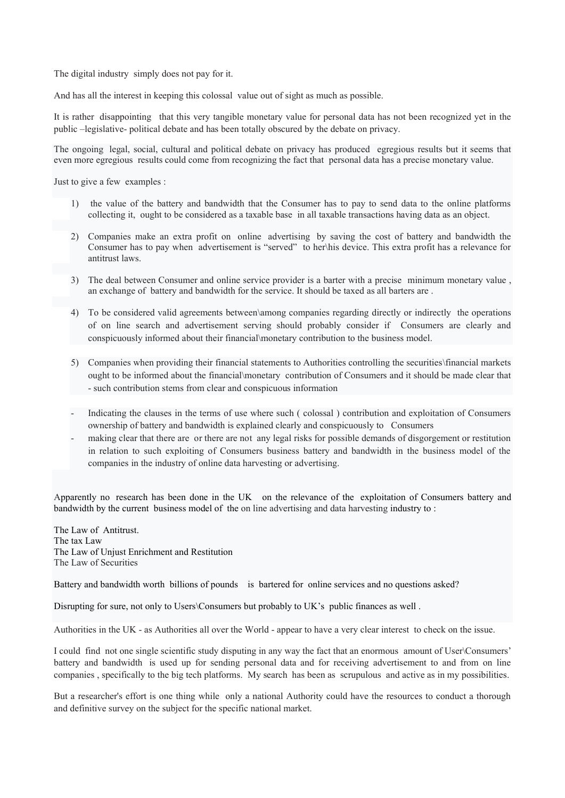The digital industry simply does not pay for it.

And has all the interest in keeping this colossal value out of sight as much as possible.

It is rather disappointing that this very tangible monetary value for personal data has not been recognized yet in the public –legislative- political debate and has been totally obscured by the debate on privacy.

The ongoing legal, social, cultural and political debate on privacy has produced egregious results but it seems that even more egregious results could come from recognizing the fact that personal data has a precise monetary value.

Just to give a few examples :

- 1) the value of the battery and bandwidth that the Consumer has to pay to send data to the online platforms collecting it, ought to be considered as a taxable base in all taxable transactions having data as an object.
- 2) Companies make an extra profit on online advertising by saving the cost of battery and bandwidth the Consumer has to pay when advertisement is "served" to her\his device. This extra profit has a relevance for antitrust laws.
- 3) The deal between Consumer and online service provider is a barter with a precise minimum monetary value , an exchange of battery and bandwidth for the service. It should be taxed as all barters are .
- 4) To be considered valid agreements between\among companies regarding directly or indirectly the operations of on line search and advertisement serving should probably consider if Consumers are clearly and conspicuously informed about their financial\monetary contribution to the business model.
- 5) Companies when providing their financial statements to Authorities controlling the securities\financial markets ought to be informed about the financial\monetary contribution of Consumers and it should be made clear that - such contribution stems from clear and conspicuous information
- Indicating the clauses in the terms of use where such ( colossal ) contribution and exploitation of Consumers ownership of battery and bandwidth is explained clearly and conspicuously to Consumers
- making clear that there are or there are not any legal risks for possible demands of disgorgement or restitution in relation to such exploiting of Consumers business battery and bandwidth in the business model of the companies in the industry of online data harvesting or advertising.

Apparently no research has been done in the UK on the relevance of the exploitation of Consumers battery and bandwidth by the current business model of the on line advertising and data harvesting industry to :

The Law of Antitrust. The tax Law The Law of Unjust Enrichment and Restitution The Law of Securities

Battery and bandwidth worth billions of pounds is bartered for online services and no questions asked?

Disrupting for sure, not only to Users\Consumers but probably to UK's public finances as well .

Authorities in the UK - as Authorities all over the World - appear to have a very clear interest to check on the issue.

I could find not one single scientific study disputing in any way the fact that an enormous amount of User\Consumers' battery and bandwidth is used up for sending personal data and for receiving advertisement to and from on line companies , specifically to the big tech platforms. My search has been as scrupulous and active as in my possibilities.

But a researcher's effort is one thing while only a national Authority could have the resources to conduct a thorough and definitive survey on the subject for the specific national market.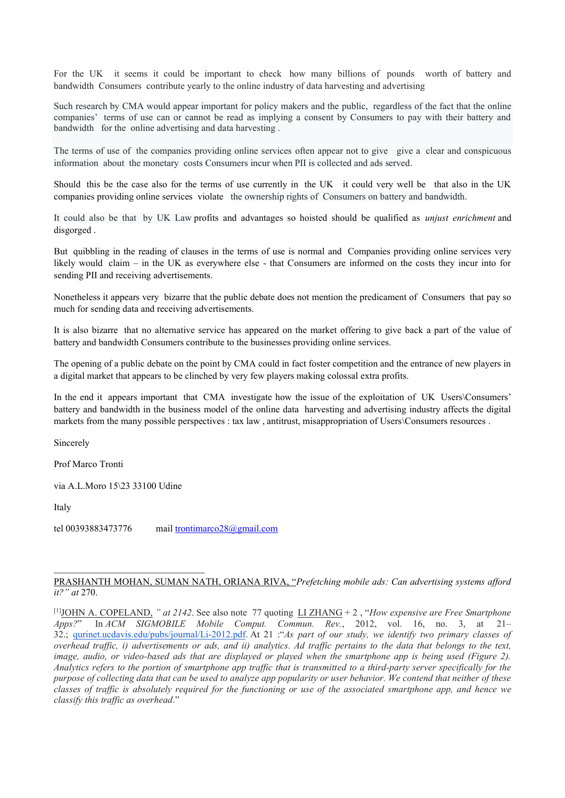For the UK it seems it could be important to check how many billions of pounds worth of battery and bandwidth Consumers contribute yearly to the online industry of data harvesting and advertising

Such research by CMA would appear important for policy makers and the public, regardless of the fact that the online companies' terms of use can or cannot be read as implying a consent by Consumers to pay with their battery and bandwidth for the online advertising and data harvesting .

The terms of use of the companies providing online services often appear not to give give a clear and conspicuous information about the monetary costs Consumers incur when PII is collected and ads served.

Should this be the case also for the terms of use currently in the UK it could very well be that also in the UK companies providing online services violate the ownership rights of Consumers on battery and bandwidth.

It could also be that by UK Law profits and advantages so hoisted should be qualified as *unjust enrichment* and disgorged .

But quibbling in the reading of clauses in the terms of use is normal and Companies providing online services very likely would claim – in the UK as everywhere else - that Consumers are informed on the costs they incur into for sending PII and receiving advertisements.

Nonetheless it appears very bizarre that the public debate does not mention the predicament of Consumers that pay so much for sending data and receiving advertisements.

It is also bizarre that no alternative service has appeared on the market offering to give back a part of the value of battery and bandwidth Consumers contribute to the businesses providing online services.

The opening of a public debate on the point by CMA could in fact foster competition and the entrance of new players in a digital market that appears to be clinched by very few players making colossal extra profits.

In the end it appears important that CMA investigate how the issue of the exploitation of UK Users\Consumers' battery and bandwidth in the business model of the online data harvesting and advertising industry affects the digital markets from the many possible perspectives : tax law , antitrust, misappropriation of Users\Consumers resources .

Sincerely

Prof Marco Tronti

via A.L.Moro 15\23 33100 Udine

Italy

tel 00393883473776 mail trontimarco $28@g$ gmail.com

## PRASHANTH MOHAN, SUMAN NATH, ORIANA RIVA, "*Prefetching mobile ads: Can advertising systems afford it?" at* 270.

<sup>[1]</sup>JOHN A. COPELAND, *" at 2142*. See also note 77 quoting LI ZHANG + 2 , "*How expensive are Free Smartphone Apps?*" In *ACM SIGMOBILE Mobile Comput. Commun. Rev.*, 2012, vol. 16, no. 3, at 21– 32.; [qurinet.ucdavis.edu/pubs/journal/Li-2012.pdf.](http://qurinet.ucdavis.edu/pubs/journal/Li-2012.pdf) At 21 :"*As part of our study, we identify two primary classes of overhead traffic, i) advertisements or ads, and ii) analytics. Ad traffic pertains to the data that belongs to the text, image, audio, or video-based ads that are displayed or played when the smartphone app is being used (Figure 2). Analytics refers to the portion of smartphone app traffic that is transmitted to a third-party server specifically for the purpose of collecting data that can be used to analyze app popularity or user behavior. We contend that neither of these classes of traffic is absolutely required for the functioning or use of the associated smartphone app, and hence we classify this traffic as overhead*."